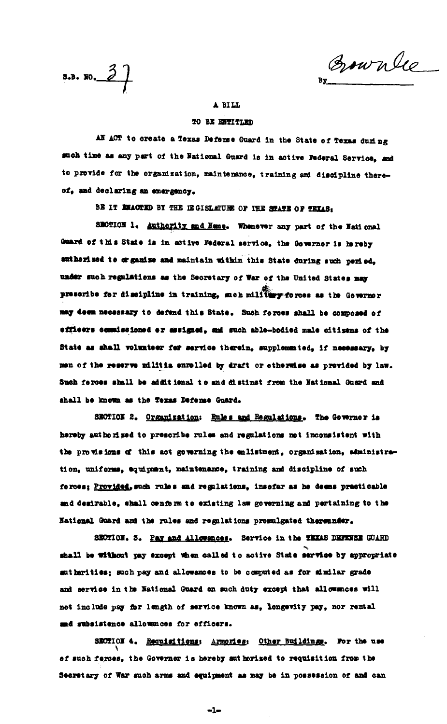$3.3.30.2$ 

Bownlee

## A BILL

## TO BE ENTITLED

AN ACT to create a Texas Defense Guard in the State of Texas during such time as any part of the National Guard is in active Federal Service, and to provide for the organization, maintenance, training and discipline thereof. and declaring an emergency.

BE IT EMACTED BY THE IEGISLATURE OF THE STATE OF TEXAS:

SECTION 1. Authority and Name. Whenever any part of the National Guard of this State is in active Federal service, the Governor is hereby suthorized to organize and maintain within this State during such period, under such regulations as the Secretary of War of the United States may prescribe for discipline in training, such military forces as the Governor may deem necessary to defend this State. Such forces shall be composed of efficers commissioned er assigned, and such able-bodied male citizens of the State as shall volunteer for service therein, supplemented, if necessary, by men of the reserve militia enrelled by draft or etherwise as provided by law. Such forces shall be additional to and distinct from the National Guard and shall be known as the Texas Defense Guard.

SECTION 2. Organization: Rules and Regulations. The Governor is hereby authorized to prescribe rules and regulations not inconsistent with the provisions of this act governing the enlistment, organisation, administration, uniforms, equipment, maintenance, training and discipline of such forces; Provided, such rules and regulations, insofar as he deems practicable and desirable, shall cenform to existing law governing and pertaining to the National Guard and the rules and regulations promulgated thereunder.

SECTION. 3. Pay and Allowances. Service in the TEXAS DEFENSE GUARD shall be without pay except when called to active State service by appropriate autherities; such pay and allowances to be computed as for mimilar grade and service in the National Guard on such duty except that allowances will not include pay for length of service known as, longevity pay, nor rental and subsistence allowances for officers.

SECTION 4. Requisitions: Armories: Other Buildings. For the use of such ferces, the Governer is hereby anthorized to requisition from the Secretary of War such arms and equipment as may be in possession of and can

 $-1-$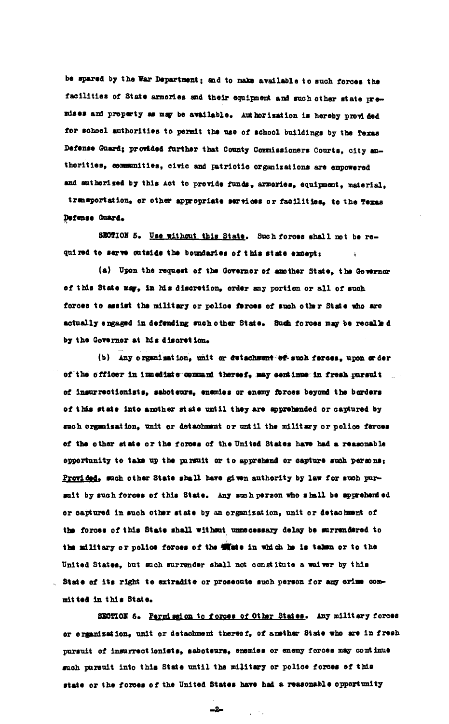be spared by the War Department; and to make available to such forces the facilities of State armories and their equipment and such other state premises and property as may be available. Authorization is hereby provided for school authorities to permit the use of school buildings by the Texas Defense Guard; provided further that County Commissioners Courts, city authorities, communities, civic and patriotic organizations are empowered and suthorized by this Act to provide funds, armories, equipment, material, transportation, or other appropriate services or facilities, to the Texas Defense Guard.

SECTION 5. Use without this State. Such forces shall not be required to serve cutside the boundaries of this state except:

(a) Upon the request of the Governor of another State, the Governor of this State may, in his discretion, order any portion or all of such forces to assist the military or police ferces of such other State who are actually engaged in defending such other State. Such forces may be recalled by the Governor at his discretion.

(b) Any organization, unit or detachment or such ferces, upon or der of the officer in immediate command thereof, may continue in fresh pursuit of insurrectionists, saboteurs, enemies or enemy forces beyond the borders of this state inte another state until they are apprehended or captured by such organisation, unit or detachment or until the military or police ferces of the other state or the forces of the United States have had a reasonable opportunity to take up the pursuit or to apprehend or capture such persons: Provided, such other State shall have given authority by law for such pursuit by such forces of this State. Any such person who shall be apprehended or captured in such other state by an organization, unit or detachment of the forces of this State shall without unnecessary delay be surrendered to the military or police forces of the withe in which he is taken or to the United States, but such surrender shall not constitute a waiver by this . State of its right to extradite or prosecute such person for any orime committed in this State.

SECTION 6. Permission to forces of Other States. Any military forces or erganization, unit or detachment thereof, of another State who are in fresh pursuit of insurrectionists, saboteurs, enemies or enemy forces may continue such pursuit into this State until the military or police forces of this state or the forces of the United States have had a reasonable opportunity

 $\frac{1}{\sqrt{2}}$  ,  $\frac{1}{\sqrt{2}}$  ,

 $-2-$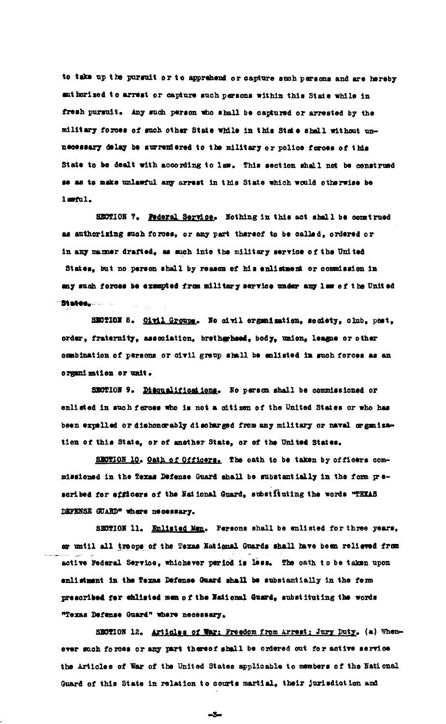to take up the pursuit or to apprehend or capture such persons and are hereby ant horized to arrest or capture such persons within this State while in fresh pursuit. Any such person who shall be captured or arrested by the military forces of such other State while in this State shall without unnecessary delay be surrendered to the military or police forces of this State to be dealt with according to law. This section shall not be construed se as to make unlawful any arrest in this State which would otherwise be lawful.

SECTION 7. Pederal Service. Nothing in this act shall be construed as authorising such forces, or any part thereof to be called, ordered or in any manner drafted, as such into the military service of the United States, but no person shall by reason of his enlistment or commission in any such forces be exempted from military service under any law of the United **Staten, Reserve** 

SECTION 8. Civil Groups. No civil organization, society, club, post, order, fraternity, association, bretherheed, body, union, league or other combination of persons or civil group shall be enlisted in such forces as an organization or unit.

SECTION 9. Disqualifications. No person shall be commissioned or enlisted in such forces who is not a citizen of the United States or who has been expelled or dishonorably discharged from any military or naval or ganization of this State, or of another State, or of the United States.

SECTION 10. Oath of Officers. The oath to be taken by officers commissioned in the Texas Defense Guard shall be substantially in the form prescribed for efficers of the National Guard, substituting the words "TEXAS DEFENSE GUARD" where necessary.

SECTION 11. Enlisted Man. Persons shall be enlisted for three years, or until all troops of the Texas National Guards shall have been relieved from active Federal Service, whichever period is less. The oath to be taken upon enlistment in the Texas Defense Guard shall be substantially in the form prescribed for chlisted men of the National Guard, substituting the words "Texas Defense Guard" where necessary.

SECTION 12. Articles of War: Freedom from Arrest: Jury Duty. (a) Whenever such forces or any part thereof shall be ordered out for active service the Articles of War of the United States applicable to members of the National Guard of this State in relation to courts martial, their jurisdiction and

 $-5-$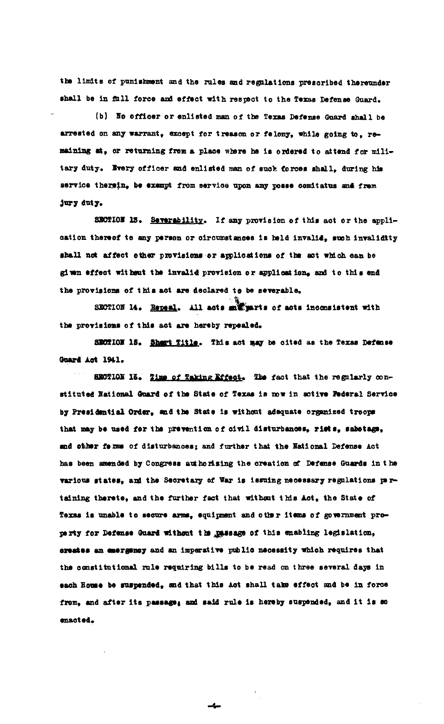the limits of punishment and the rules and regulations prescribed thereunder shall be in full force and effect with respect to the Texas Defense Guard.

(b) Ho officer or enlisted man of the Texas Defense Guard shall be arrested on any warrant, except for treason or felony, while going to. remaining at, or returning from a place where he is ordered to attend for military duty. Every officer and enlisted man of such forces shall, during his service therein, be exampt from service upon any posse comitatus and from jury duty.

SECTION 13. Severability. If any provision of this act or the application thereof to any person or circumstances is held invalid, such invalidity shall not affect other provisions or applications of the act which can be given effect without the invalid provision or application, and to this end the provisions of this act are declared to be severable.

SECTION 14. Repeal. All acts suffuerts of acts inconsistent with the provisions of this act are hereby repealed.

SECTION 15. Sheart Title. This act may be cited as the Texas Defense Guard Act 1941.

SECTION 15. Time of Taking Effect. The fact that the regularly constituted National Guard of the State of Texas is now in active Federal Service by Presidential Order, and the State is without adequate organized troops that may be used for the prevention of civil disturbances, rists, sabotage, and other ferms of disturbances; and further that the National Defense Act has been amended by Congress authorising the creation of Defense Guards in the various states, and the Secretary of War is issuing necessary regulations pertaining therete, and the further fact that without this Act, the State of Texas is unable to secure arms, equipment and other items of government proparty for Defense Guard without the passage of this enabling legislation, crestes an emergency and an imperative public necessity which requires that the constitutional rule requiring bills to be read on three several days in each House be suspended, and that this Act shall take effect and be in force from, and after its passage; and said rule is hereby suspended, and it is so enacted.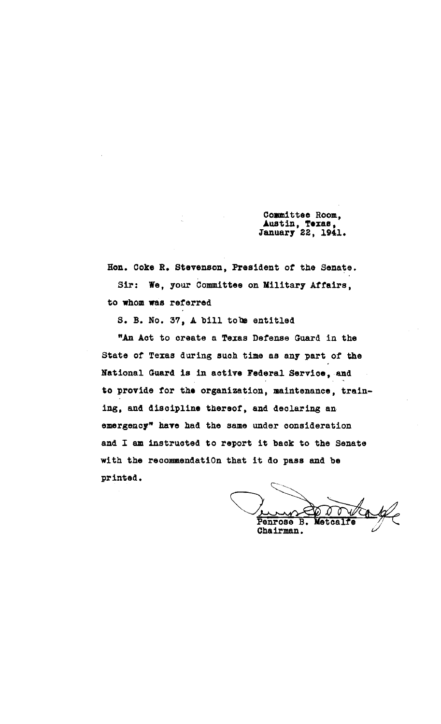Committee Room, Austin, Texas, January 22, 1941.

Hon. Coke R. Stevenson, President *ot* the Senate. Sir: We, your Committee on Military Affairs, to whom was referred

s. B. No. 37, A bill tobe entitled

"An Act to create a Texas Detense Guard in the State or Texas during such time as any part *ot* the National Guard is in active Federal Service, and to provide for the organization, maintenance, training, and discipline thereof, and declaring an emergency" have had the same under consideration and I am instructed to report it back to the Senate with the recommendatiOn that it do pass and be printed.

what it do pass and be<br>
<br> **V** Chairman.<br>
Chairman.